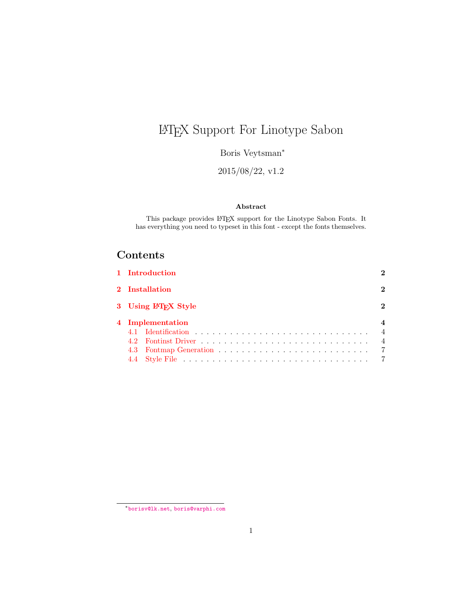# <span id="page-0-1"></span><span id="page-0-0"></span>LATEX Support For Linotype Sabon

Boris Veytsman<sup>∗</sup>

2015/08/22, v1.2

#### Abstract

This package provides  $\mathbb{B}\mathrm{T}\!\mathbf{E}\mathrm{X}$  support for the Linotype Sabon Fonts. It has everything you need to typeset in this font - except the fonts themselves.

# Contents

| 1 Introduction      |                |
|---------------------|----------------|
| 2 Installation      | 2              |
| 3 Using LATFX Style |                |
| 4 Implementation    |                |
|                     | $\overline{4}$ |
|                     | $\overline{4}$ |
|                     | $\overline{7}$ |
|                     |                |

<sup>∗</sup>[borisv@lk.net](mailto:borisv@lk.net), [boris@varphi.com](mailto:boris@varphi.com)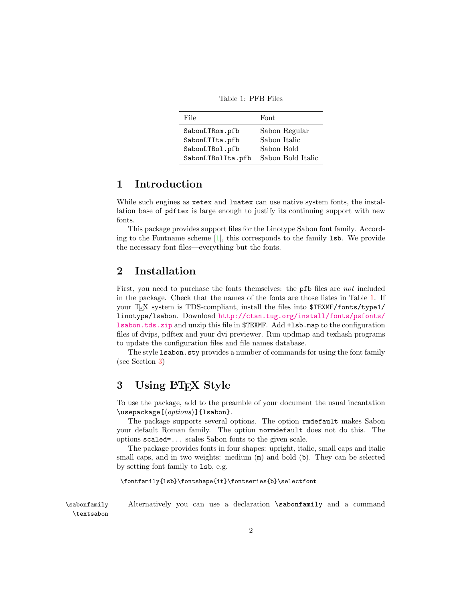Table 1: PFB Files

<span id="page-1-3"></span>

| File              | Font              |
|-------------------|-------------------|
| SabonLTRom.pfb    | Sabon Regular     |
| SabonLTIta.pfb    | Sabon Italic      |
| SabonLTBol.pfb    | Sabon Bold        |
| SabonLTBolIta.pfb | Sabon Bold Italic |

#### <span id="page-1-0"></span>1 Introduction

While such engines as **xetex** and **luatex** can use native system fonts, the installation base of pdftex is large enough to justify its continuing support with new fonts.

This package provides support files for the Linotype Sabon font family. According to the Fontname scheme [\[1\]](#page-8-0), this corresponds to the family lsb. We provide the necessary font files—everything but the fonts.

#### <span id="page-1-1"></span>2 Installation

First, you need to purchase the fonts themselves: the **pfb** files are not included in the package. Check that the names of the fonts are those listes in Table [1.](#page-1-3) If your TEX system is TDS-compliant, install the files into \$TEXMF/fonts/type1/ linotype/lsabon. Download [http://ctan.tug.org/install/fonts/psfonts/](http://ctan.tug.org/install/fonts/psfonts/lsabon.tds.zip) [lsabon.tds.zip](http://ctan.tug.org/install/fonts/psfonts/lsabon.tds.zip) and unzip this file in \$TEXMF. Add +lsb.map to the configuration files of dvips, pdftex and your dvi previewer. Run updmap and texhash programs to update the configuration files and file names database.

The style **lsabon**. sty provides a number of commands for using the font family (see Section [3\)](#page-1-2)

## <span id="page-1-2"></span>3 Using LAT<sub>EX</sub> Style

To use the package, add to the preamble of your document the usual incantation  $\text{lssepackage}$ [ $\text{options}$ ][lsabon].

The package supports several options. The option rmdefault makes Sabon your default Roman family. The option normdefault does not do this. The options scaled=... scales Sabon fonts to the given scale.

The package provides fonts in four shapes: upright, italic, small caps and italic small caps, and in two weights: medium  $(m)$  and bold (b). They can be selected by setting font family to lsb, e.g.

#### \fontfamily{lsb}\fontshape{it}\fontseries{b}\selectfont

\sabonfamily Alternatively you can use a declaration \sabonfamily and a command \textsabon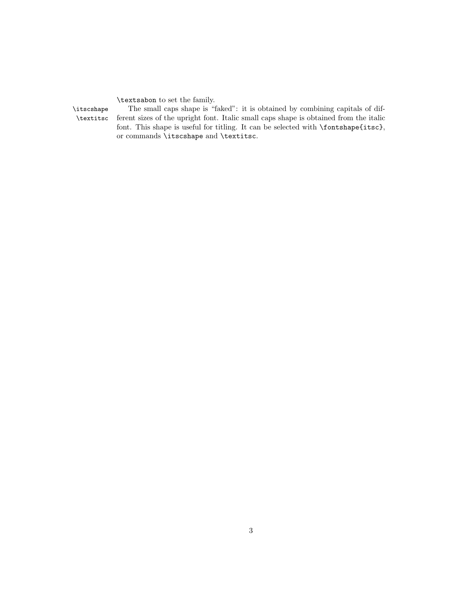\textsabon to set the family.

\itscshape The small caps shape is "faked": it is obtained by combining capitals of dif- \textitsc ferent sizes of the upright font. Italic small caps shape is obtained from the italic font. This shape is useful for titling. It can be selected with \fontshape{itsc}, or commands \itscshape and \textitsc.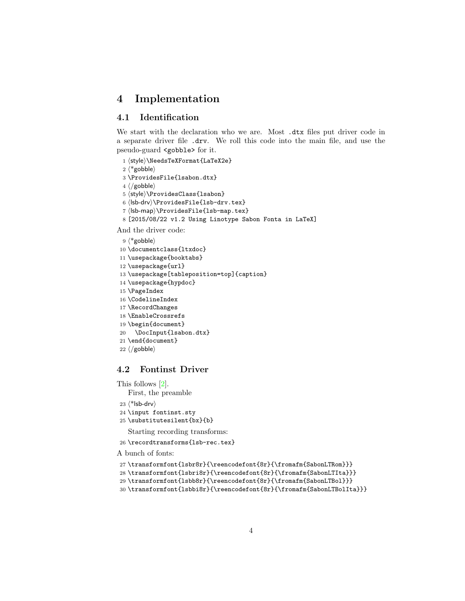## <span id="page-3-0"></span>4 Implementation

#### <span id="page-3-1"></span>4.1 Identification

We start with the declaration who we are. Most .dtx files put driver code in a separate driver file .drv. We roll this code into the main file, and use the pseudo-guard <gobble> for it.

- 1 (style)\NeedsTeXFormat{LaTeX2e}
- $2$   $\langle$ \*gobble $\rangle$
- 3 \ProvidesFile{lsabon.dtx}
- $4 \langle /gobble \rangle$
- 5 (style)\ProvidesClass{lsabon}
- $6$  (lsb-drv)\ProvidesFile{lsb-drv.tex}
- 7 (Isb-map)\ProvidesFile{lsb-map.tex}
- 8 [2015/08/22 v1.2 Using Linotype Sabon Fonta in LaTeX]

And the driver code:

- $9$   $*$ gobble)
- 10 \documentclass{ltxdoc}
- 11 \usepackage{booktabs}
- 12 \usepackage{url}
- 13 \usepackage[tableposition=top]{caption}
- 14 \usepackage{hypdoc}
- 15 \PageIndex
- 16 \CodelineIndex
- 17 \RecordChanges
- 18 \EnableCrossrefs
- 19 \begin{document}
- 20 \DocInput{lsabon.dtx}
- 21 \end{document}
- $22 \langle /gobble \rangle$

#### <span id="page-3-2"></span>4.2 Fontinst Driver

This follows [\[2\]](#page-8-1).

First, the preamble

- 23  $\langle$ \*lsb-drv $\rangle$
- 24 \input fontinst.sty
- 25 \substitutesilent{bx}{b}

Starting recording transforms:

```
26 \recordtransforms{lsb-rec.tex}
```
A bunch of fonts:

- 27 \transformfont{lsbr8r}{\reencodefont{8r}{\fromafm{SabonLTRom}}}
- 28 \transformfont{lsbri8r}{\reencodefont{8r}{\fromafm{SabonLTIta}}}
- 29 \transformfont{lsbb8r}{\reencodefont{8r}{\fromafm{SabonLTBol}}}
- 30 \transformfont{lsbbi8r}{\reencodefont{8r}{\fromafm{SabonLTBolIta}}}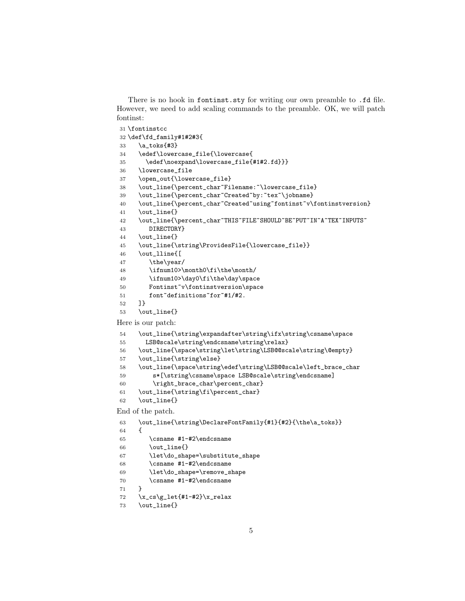There is no hook in fontinst.sty for writing our own preamble to .fd file. However, we need to add scaling commands to the preamble. OK, we will patch fontinst:

```
31 \fontinstcc
32 \def\fd_family#1#2#3{
33 \a_toks{#3}
34 \edef\lowercase_file{\lowercase{
35 \edef\noexpand\lowercase_file{#1#2.fd}}}
36 \lowercase_file
37 \open_out{\lowercase_file}
38 \out_line{\percent_char~Filename:~\lowercase_file}
39 \out_line{\percent_char~Created~by: "tex"\jobname}
40 \out_line{\percent_char~Created~using~fontinst~v\fontinstversion}
41 \out_line{}
42 \out_line{\percent_char~THIS~FILE~SHOULD~BE~PUT~IN~A~TEX~INPUTS~
43 DIRECTORY}
44 \out_line{}
45 \out_line{\string\ProvidesFile{\lowercase_file}}
46 \out_lline{[
47 \the\year/
48 \ifnum10>\month0\fi\the\month/
49 \ifnum10>\day0\fi\the\day\space
50 Fontinst~v\fontinstversion\space
51 font~definitions~for~#1/#2.
52 ]}
53 \out_line{}
Here is our patch:
54 \out_line{\string\expandafter\string\ifx\string\csname\space
55 LSB@scale\string\endcsname\string\relax}
56 \out_line{\space\string\let\string\LSB@@scale\string\@empty}
57 \out_line{\string\else}
58 \out_line{\space\string\edef\string\LSB@@scale\left_brace_char
59 s*[\string\csname\space LSB@scale\string\endcsname]
60 \right_brace_char\percent_char}
61 \out_line{\string\fi\percent_char}
62 \out_line{}
End of the patch.
63 \out_line{\string\DeclareFontFamily{#1}{#2}{\the\a_toks}}
64 {
65 \csname #1-#2\endcsname
66 \out_line{}
67 \let\do_shape=\substitute_shape
68 \csname #1-#2\endcsname
```

```
69 \let\do_shape=\remove_shape
```

```
70 \csname #1-#2\endcsname
```

```
71 }
```

```
72 \quad \x_c s\g_let{#1-#2}\x_relax
```

```
73 \out_line{}
```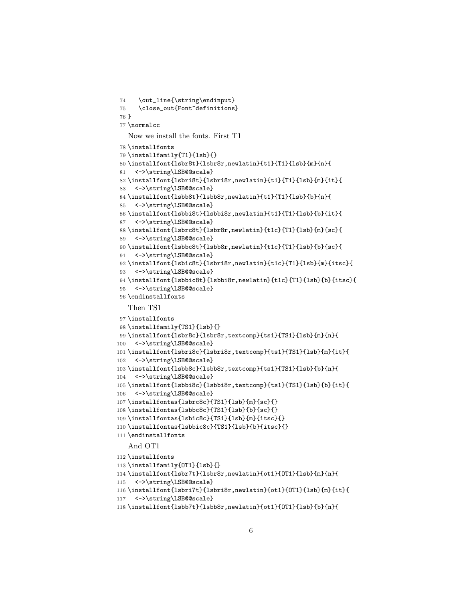```
74 \out_line{\string\endinput}
75 \close_out{Font~definitions}
76 }
77 \normalcc
   Now we install the fonts. First T1
78 \installfonts
79 \installfamily{T1}{lsb}{}
80 \installfont{lsbr8t}{lsbr8r,newlatin}{t1}{T1}{lsb}{m}{n}{
81 <->\string\LSB@@scale}
82 \installfont{lsbri8t}{lsbri8r,newlatin}{t1}{T1}{lsb}{m}{it}{
83 <->\string\LSB@@scale}
84 \installfont{lsbb8t}{lsbb8r,newlatin}{t1}{T1}{lsb}{b}{n}{
85 <->\string\LSB@@scale}
86 \installfont{lsbbi8t}{lsbbi8r,newlatin}{t1}{T1}{lsb}{b}{it}{
87 <->\string\LSB@@scale}
88 \installfont{lsbrc8t}{lsbr8r,newlatin}{t1c}{T1}{lsb}{m}{sc}{
89 <->\string\LSB@@scale}
90 \installfont{lsbbc8t}{lsbb8r,newlatin}{t1c}{T1}{lsb}{b}{sc}{
91 <->\string\LSB@@scale}
92 \installfont{lsbic8t}{lsbri8r,newlatin}{t1c}{T1}{lsb}{m}{itsc}{
93 <->\string\LSB@@scale}
94 \installfont{lsbbic8t}{lsbbi8r,newlatin}{t1c}{T1}{lsb}{b}{itsc}{
95 <->\string\LSB@@scale}
96 \endinstallfonts
   Then TS1
97 \installfonts
98 \installfamily{TS1}{lsb}{}
99 \installfont{lsbr8c}{lsbr8r,textcomp}{ts1}{TS1}{lsb}{m}{n}{
100 <->\string\LSB@@scale}
101 \installfont{lsbri8c}{lsbri8r,textcomp}{ts1}{TS1}{lsb}{m}{it}{
102 <->\string\LSB@@scale}
103 \installfont{lsbb8c}{lsbb8r,textcomp}{ts1}{TS1}{lsb}{b}{n}{
104 <->\string\LSB@@scale}
105 \installfont{lsbbi8c}{lsbbi8r,textcomp}{ts1}{TS1}{lsb}{b}{it}{
106 <->\string\LSB@@scale}
107\installfontas{lsbrc8c}{TS1}{lsb}{m}{sc}{}
108 \installfontas{lsbbc8c}{TS1}{lsb}{b}{sc}{}
109 \installfontas{lsbic8c}{TS1}{lsb}{m}{itsc}{}
110 \installfontas{lsbbic8c}{TS1}{lsb}{b}{itsc}{}
111 \endinstallfonts
   And OT1
112 \installfonts
113 \installfamily{OT1}{lsb}{}
114 \installfont{lsbr7t}{lsbr8r,newlatin}{ot1}{OT1}{lsb}{m}{n}{
115 <->\string\LSB@@scale}
116 \installfont{lsbri7t}{lsbri8r,newlatin}{ot1}{OT1}{lsb}{m}{it}{
117 <->\string\LSB@@scale}
```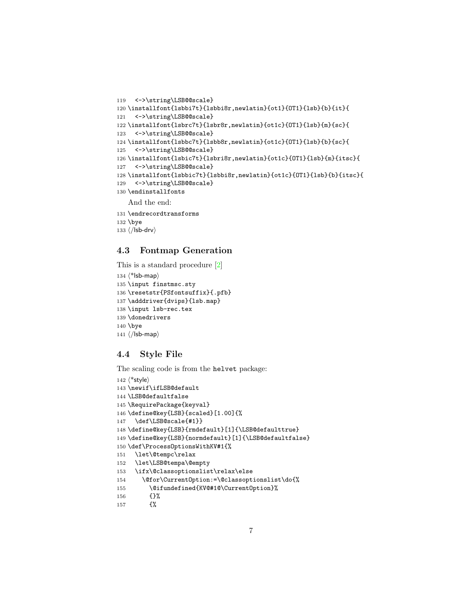```
119 <->\string\LSB@@scale}
120 \installfont{lsbbi7t}{lsbbi8r,newlatin}{ot1}{OT1}{lsb}{b}{it}{
121 <->\string\LSB@@scale}
122 \installfont{lsbrc7t}{lsbr8r,newlatin}{ot1c}{OT1}{lsb}{m}{sc}{
123 <->\string\LSB@@scale}
124 \installfont{lsbbc7t}{lsbb8r,newlatin}{ot1c}{OT1}{lsb}{b}{sc}{
125 <->\string\LSB@@scale}
126 \installfont{lsbic7t}{lsbri8r,newlatin}{ot1c}{OT1}{lsb}{m}{itsc}{
127 <->\string\LSB@@scale}
128 \installfont{lsbbic7t}{lsbbi8r,newlatin}{ot1c}{OT1}{lsb}{b}{itsc}{
129 <->\string\LSB@@scale}
130 \endinstallfonts
   And the end:
131 \endrecordtransforms
132 \bye
```
133  $\langle$ /lsb-drv $\rangle$ 

### <span id="page-6-0"></span>4.3 Fontmap Generation

This is a standard procedure [\[2\]](#page-8-1)

```
134 \langle*lsb-map\rangle135 \input finstmsc.sty
136 \resetstr{PSfontsuffix}{.pfb}
137 \adddriver{dvips}{lsb.map}
138 \input lsb-rec.tex
139 \donedrivers
140 \bye
141 \langle/lsb-map\rangle
```
### <span id="page-6-1"></span>4.4 Style File

The scaling code is from the helvet package:

```
142 \langle*style\rangle143 \newif\ifLSB@default
144 \LSB@defaultfalse
145 \RequirePackage{keyval}
146 \define@key{LSB}{scaled}[1.00]{%
147 \def\LSB@scale{#1}}
148 \define@key{LSB}{rmdefault}[1]{\LSB@defaulttrue}
149 \define@key{LSB}{normdefault}[1]{\LSB@defaultfalse}
150 \def\ProcessOptionsWithKV#1{%
151 \let\@tempc\relax
152 \let\LSB@tempa\@empty
153 \ifx\@classoptionslist\relax\else
154 \@for\CurrentOption:=\@classoptionslist\do{%
155 \@ifundefined{KV@#1@\CurrentOption}%
156 {}%
157 {%
```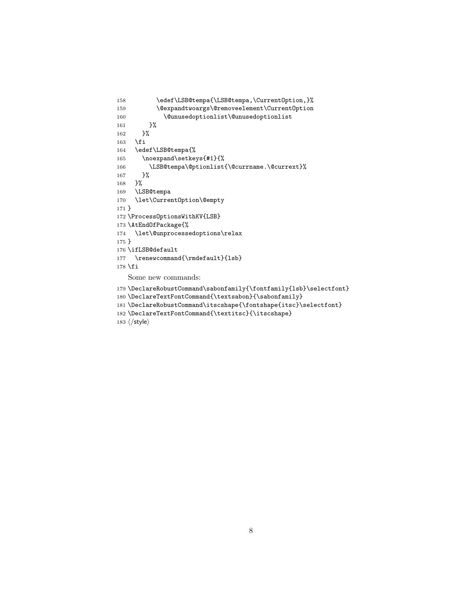```
158 \edef\LSB@tempa{\LSB@tempa,\CurrentOption,}%
159 \@expandtwoargs\@removeelement\CurrentOption
160 \@unusedoptionlist\@unusedoptionlist
161 }%
162 }%
163 \fi
164 \edef\LSB@tempa{%
165 \noexpand\setkeys{#1}{%
166 \LSB@tempa\@ptionlist{\@currname.\@currext}%
167 }% <br>168 }%
168\,169 \LSB@tempa
170 \let\CurrentOption\@empty
171 }
172 \ProcessOptionsWithKV{LSB}
173 \AtEndOfPackage{%
174 \let\@unprocessedoptions\relax
175 }
176 \ifLSB@default
177 \renewcommand{\rmdefault}{lsb}
178 \fi
   Some new commands:
179 \DeclareRobustCommand\sabonfamily{\fontfamily{lsb}\selectfont}
```

```
180 \DeclareTextFontCommand{\textsabon}{\sabonfamily}
```

```
181 \DeclareRobustCommand\itscshape{\fontshape{itsc}\selectfont}
```

```
182 \DeclareTextFontCommand{\textitsc}{\itscshape}
```

```
183 \langle/style\rangle
```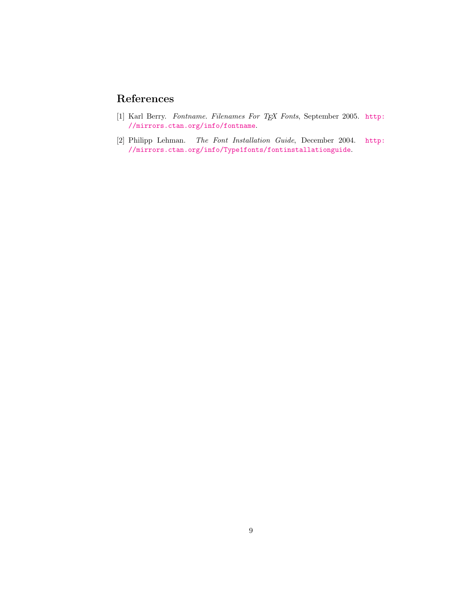# References

- <span id="page-8-0"></span>[1] Karl Berry. Fontname. Filenames For TEX Fonts, September 2005. [http:](http://mirrors.ctan.org/info/fontname) [//mirrors.ctan.org/info/fontname](http://mirrors.ctan.org/info/fontname).
- <span id="page-8-1"></span>[2] Philipp Lehman. The Font Installation Guide, December 2004. [http:](http://mirrors.ctan.org/info/Type1fonts/fontinstallationguide) [//mirrors.ctan.org/info/Type1fonts/fontinstallationguide](http://mirrors.ctan.org/info/Type1fonts/fontinstallationguide).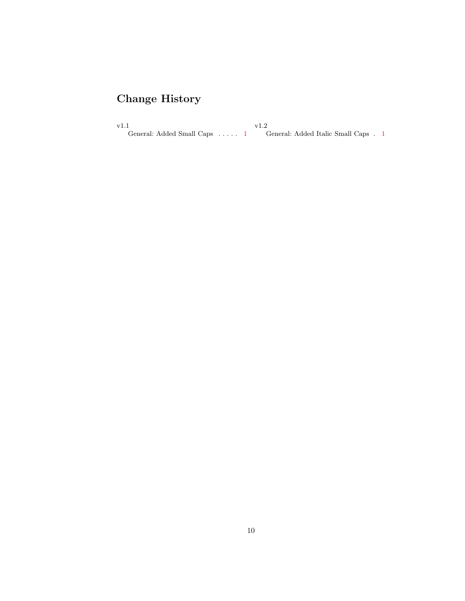# Change History

v1.1 General: Added Small Caps . . . . . [1](#page-0-0) v1.2 General: Added Italic Small Caps . [1](#page-0-0)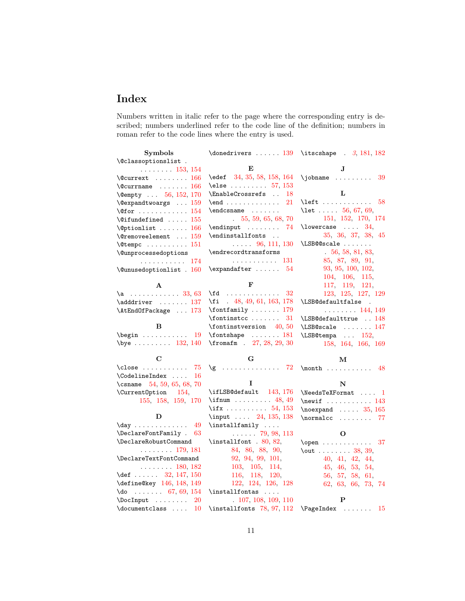# Index

Numbers written in italic refer to the page where the corresponding entry is described; numbers underlined refer to the code line of the definition; numbers in roman refer to the code lines where the entry is used.

| Symbols                                                             |                                      | \donedrivers  139 \itscshape . 3, 181, 182                                                                                                                                                     |
|---------------------------------------------------------------------|--------------------------------------|------------------------------------------------------------------------------------------------------------------------------------------------------------------------------------------------|
| \@classoptionslist .                                                |                                      |                                                                                                                                                                                                |
| $\ldots \ldots 153, 154$                                            | Е                                    | J                                                                                                                                                                                              |
| $\text{Courtext} \dots \dots \quad 166$                             | \edef 34, 35, 58, 158, 164           | $\infty$<br>39                                                                                                                                                                                 |
| $\text{C}$ currname  166                                            | \else $\ldots \ldots \ldots 57, 153$ |                                                                                                                                                                                                |
| \@empty  56, 152, 170                                               | \EnableCrossrefs<br>18               | L                                                                                                                                                                                              |
| $\text{Qezpandtwoargs} \dots 159$                                   | $\endots$<br>21                      | $\left\{ \right. \left. \left. \right. \left. \right. \left. \right. \left. \right. \left. \right. \left. \right. \left. \right. \left. \right. \right. \left. \right. \left. \right. \right.$ |
| <b>\@for</b> $\,\ldots\,\ldots\,\ldots\,\ldots\,\,154$              |                                      | \let  56, 67, 69,                                                                                                                                                                              |
| <b>\@ifundefined</b> $\dots$ . $155$                                | .55, 59, 65, 68, 70                  | 151, 152, 170, 174                                                                                                                                                                             |
| $\Diamond$ ptionlist  166                                           | $\end{$                              | $\lambda$ lowercase  34,                                                                                                                                                                       |
| $\texttt{\textbackslash}$ Gremoveelement $159$                      | $\verb+\endinstallfonts \n$          | 35, 36, 37, 38, 45                                                                                                                                                                             |
| $\text{Vctempc}$ 151                                                | $\ldots$ 96, 111, 130                | \LSB@@scale                                                                                                                                                                                    |
| \@unprocessedoptions                                                | \endrecordtransforms                 | 56, 58, 81, 83                                                                                                                                                                                 |
| . 174                                                               | . 131                                | 85, 87, 89, 91,                                                                                                                                                                                |
| $\text{Qunused}$ optionlist . 160                                   | $\text{expandafter} \dots 54$        | 93, 95, 100, 102,                                                                                                                                                                              |
|                                                                     |                                      | 104, 106, 115,                                                                                                                                                                                 |
| A                                                                   | F                                    | 117, 119, 121,                                                                                                                                                                                 |
| $\a$ 33, 63                                                         | \fd $32$                             | 123, 125, 127, 129                                                                                                                                                                             |
| \adddriver  137                                                     | $\{ f$ i $48, 49, 61, 163, 178$      | \LSB@defaultfalse .                                                                                                                                                                            |
| \AtEndOfPackage  173                                                | $\forall$ fontfamily  179            | $\ldots \ldots 144, 149$                                                                                                                                                                       |
|                                                                     | $\forall$ fontinstcc<br>31           | \LSB@defaulttrue  148                                                                                                                                                                          |
| в                                                                   | $\forall$ fontinstversion 40,50      | \LSB@scale  147                                                                                                                                                                                |
| $\begin{bmatrix} \text{begin} \dots & \dots & 19 \end{bmatrix}$     | $\verb+\fontshape+ \dots.251$        | \LSB@tempa  152,                                                                                                                                                                               |
| $\begin{array}{ccc} \text{132, 140} \\ \text{132, 140} \end{array}$ | $\frac{1}{27}$ , 28, 29, 30          | 158, 164, 166, 169                                                                                                                                                                             |
| С                                                                   | G                                    | М                                                                                                                                                                                              |
| $\texttt{close}$ $75$                                               | $\gtrsim$ 72                         | $\mathbb{R}$ 48                                                                                                                                                                                |
| \CodelineIndex<br>16                                                |                                      |                                                                                                                                                                                                |
| \csname $54, 59, 65, 68, 70$                                        | 1                                    | N                                                                                                                                                                                              |
| \Current0ption 154,                                                 | \ifLSB@default $143, 176$            | $\NeedsTeXFormat \dots 1$                                                                                                                                                                      |
| 155, 158, 159, 170                                                  | \ifnum  48, 49                       | $\neq$ 143                                                                                                                                                                                     |
|                                                                     | \if $x \ldots x \ldots 54, 153$      | $\neq$ $\dots$ 35, 165                                                                                                                                                                         |
| D                                                                   | \input  24, 135, 138                 | \normalcc  77                                                                                                                                                                                  |
| $\day \dots \dots \dots \ 49$                                       | $\in$ \installfamily                 |                                                                                                                                                                                                |
| $\Delta$ PeclareFontFamily . 63                                     | $\ldots$ . 79, 98, 113               | O                                                                                                                                                                                              |
| \DeclareRobustCommand                                               | $\in$ 80, 82,                        | $\open$ 37                                                                                                                                                                                     |
| $\cdots$ 179, 181                                                   | 84, 86, 88, 90,                      | $\lnot$ 38, 39,                                                                                                                                                                                |
| \DeclareTextFontCommand                                             | 92, 94, 99, 101,                     | 40, 41, 42, 44,                                                                                                                                                                                |
| $\ldots \ldots 180, 182$                                            | 103, 105, 114,                       | 45, 46, 53, 54,                                                                                                                                                                                |
| \def  32, 147, 150                                                  | 116, 118, 120,                       | 56, 57, 58, 61,                                                                                                                                                                                |
| \define@key 146, 148, 149                                           | 122, 124, 126, 128                   | 62, 63, 66, 73, 74                                                                                                                                                                             |
| $\{do \ldots \ldots 67, 69, 154\}$                                  |                                      |                                                                                                                                                                                                |
| $\Delta$ 20                                                         | .107, 108, 109, 110                  | P                                                                                                                                                                                              |
| $\dot{\alpha}$ 10                                                   | \installfonts 78, 97, 112            | $\P$ ageIndex<br>- 15                                                                                                                                                                          |